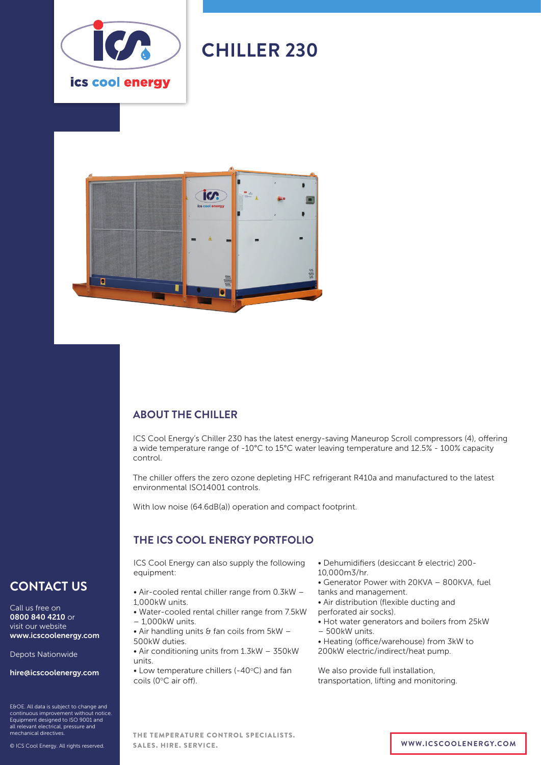

# **CHILLER 230**



# **ABOUT THE CHILLER**

ICS Cool Energy's Chiller 230 has the latest energy-saving Maneurop Scroll compressors (4), offering a wide temperature range of -10°C to 15°C water leaving temperature and 12.5% - 100% capacity control.

The chiller offers the zero ozone depleting HFC refrigerant R410a and manufactured to the latest environmental ISO14001 controls.

With low noise (64.6dB(a)) operation and compact footprint.

# **THE ICS COOL ENERGY PORTFOLIO**

ICS Cool Energy can also supply the following equipment:

- Air-cooled rental chiller range from 0.3kW 1,000kW units.
- Water-cooled rental chiller range from 7.5kW – 1,000kW units.
- Air handling units  $\theta$  fan coils from 5kW 500kW duties.
- Air conditioning units from 1.3kW 350kW units.
- $\bullet$  Low temperature chillers (-40 $\degree$ C) and fan coils (0°C air off).
- Dehumidifiers (desiccant & electric) 200- 10,000m3/hr.
- Generator Power with 20KVA 800KVA, fuel
- tanks and management. • Air distribution (flexible ducting and
- perforated air socks). • Hot water generators and boilers from 25kW
- 500kW units.
- Heating (office/warehouse) from 3kW to
- 200kW electric/indirect/heat pump.

We also provide full installation, transportation, lifting and monitoring.

# **CONTACT US**

Call us free on 0800 840 4210 or visit our website www.icscoolenergy.com

Depots Nationwide

hire@icscoolenergy.com

E&OE. All data is subject to change and continuous improvement without notice. Equipment designed to ISO 9001 and all relevant electrical, pressure and mechanical directives.

© ICS Cool Energy. All rights reserved.

THE TEMPERATURE CONTROL SPECIALISTS. SALES. HIRE. SERVICE. **WWW.ICSCOOLENERGY.COM**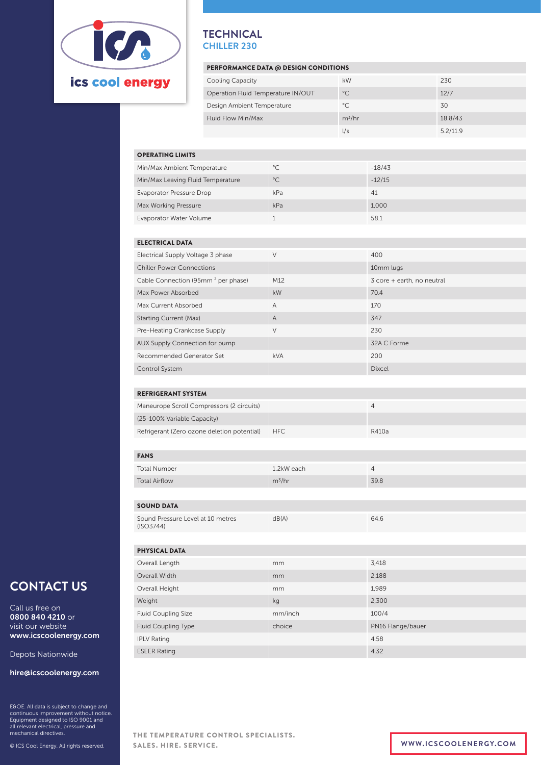

### **TECHNICAL CHILLER 230**

### PERFORMANCE DATA @ DESIGN CONDITIONS

| <b>Cooling Capacity</b>            | kW           | 230      |
|------------------------------------|--------------|----------|
| Operation Fluid Temperature IN/OUT | $^{\circ}$ C | 12/7     |
| Design Ambient Temperature         | $^{\circ}$ C | 30       |
| Fluid Flow Min/Max                 | $m^3/hr$     | 18.8/43  |
|                                    | l/s          | 5.2/11.9 |

### OPERATING LIMITS

| Min/Max Ambient Temperature       | $^{\circ}$ C | $-18/43$ |
|-----------------------------------|--------------|----------|
| Min/Max Leaving Fluid Temperature | $^{\circ}$ C | $-12/15$ |
| Evaporator Pressure Drop          | kPa          | 41       |
| Max Working Pressure              | kPa          | 1,000    |
| Evaporator Water Volume           |              | 58.1     |

#### ELECTRICAL DATA

| Electrical Supply Voltage 3 phase              | $\vee$         | 400                        |
|------------------------------------------------|----------------|----------------------------|
| <b>Chiller Power Connections</b>               |                | 10mm lugs                  |
| Cable Connection (95mm <sup>2</sup> per phase) | M12            | 3 core + earth, no neutral |
| Max Power Absorbed                             | kW             | 70.4                       |
| Max Current Absorbed                           | $\overline{A}$ | 170                        |
| <b>Starting Current (Max)</b>                  | $\overline{A}$ | 347                        |
| Pre-Heating Crankcase Supply                   | V              | 230                        |
| AUX Supply Connection for pump                 |                | 32A C Forme                |
| Recommended Generator Set                      | <b>kVA</b>     | 200                        |
| Control System                                 |                | <b>Dixcel</b>              |

### REFRIGERANT SYSTEM

| Maneurope Scroll Compressors (2 circuits)   |      |       |
|---------------------------------------------|------|-------|
| (25-100% Variable Capacity)                 |      |       |
| Refrigerant (Zero ozone deletion potential) | HFC. | R410a |

# FANS

| <b>FANS</b>          |            |      |
|----------------------|------------|------|
| Total Number         | 1.2kW each |      |
| <b>Total Airflow</b> | $m^3/hr$   | 39.8 |

### SOUND DATA

| Sound Pressure Level at 10 metres | dB(A) | 64.6 |
|-----------------------------------|-------|------|
| (ISO3744)                         |       |      |

| <b>PHYSICAL DATA</b>       |         |                   |
|----------------------------|---------|-------------------|
| Overall Length             | mm      | 3,418             |
| Overall Width              | mm      | 2,188             |
| Overall Height             | mm      | 1,989             |
| Weight                     | kg      | 2,300             |
| <b>Fluid Coupling Size</b> | mm/inch | 100/4             |
| <b>Fluid Coupling Type</b> | choice  | PN16 Flange/bauer |
| <b>IPLV Rating</b>         |         | 4.58              |
| <b>ESEER Rating</b>        |         | 4.32              |

# **CONTACT US**

Call us free on 0800 840 4210 or visit our website www.icscoolenergy.com

Depots Nationwide

#### hire@icscoolenergy.com

E&OE. All data is subject to change and continuous improvement without notice. Equipment designed to ISO 9001 and all relevant electrical, pressure and mechanical directives.

© ICS Cool Energy. All rights reserved.

THE TEMPERATURE CONTROL SPECIALISTS. SALES. HIRE. SERVICE. **WWW.ICSCOOLENERGY.COM**